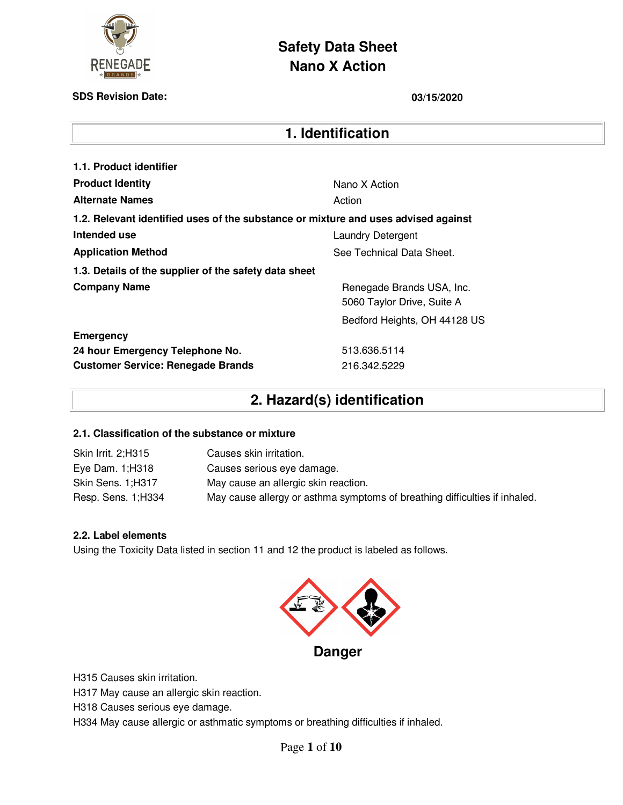

# **Safety Data Sheet Nano X Action**

### **SDS Revision Date: 03/15/2020**

### **1. Identification**

| 1.1. Product identifier                                                            |                                                         |
|------------------------------------------------------------------------------------|---------------------------------------------------------|
| <b>Product Identity</b>                                                            | Nano X Action                                           |
| <b>Alternate Names</b>                                                             | Action                                                  |
| 1.2. Relevant identified uses of the substance or mixture and uses advised against |                                                         |
| Intended use                                                                       | <b>Laundry Detergent</b>                                |
| <b>Application Method</b>                                                          | See Technical Data Sheet.                               |
| 1.3. Details of the supplier of the safety data sheet                              |                                                         |
| <b>Company Name</b>                                                                | Renegade Brands USA, Inc.<br>5060 Taylor Drive, Suite A |
|                                                                                    | Bedford Heights, OH 44128 US                            |
| <b>Emergency</b>                                                                   |                                                         |
| 24 hour Emergency Telephone No.                                                    | 513.636.5114                                            |
| <b>Customer Service: Renegade Brands</b>                                           | 216.342.5229                                            |

# **2. Hazard(s) identification**

### **2.1. Classification of the substance or mixture**

| Skin Irrit. 2;H315  | Causes skin irritation.                                                    |
|---------------------|----------------------------------------------------------------------------|
| Eye Dam. 1;H318     | Causes serious eye damage.                                                 |
| Skin Sens. 1;H317   | May cause an allergic skin reaction.                                       |
| Resp. Sens. 1; H334 | May cause allergy or asthma symptoms of breathing difficulties if inhaled. |

### **2.2. Label elements**

Using the Toxicity Data listed in section 11 and 12 the product is labeled as follows.



H315 Causes skin irritation.

H317 May cause an allergic skin reaction.

H318 Causes serious eye damage.

H334 May cause allergic or asthmatic symptoms or breathing difficulties if inhaled.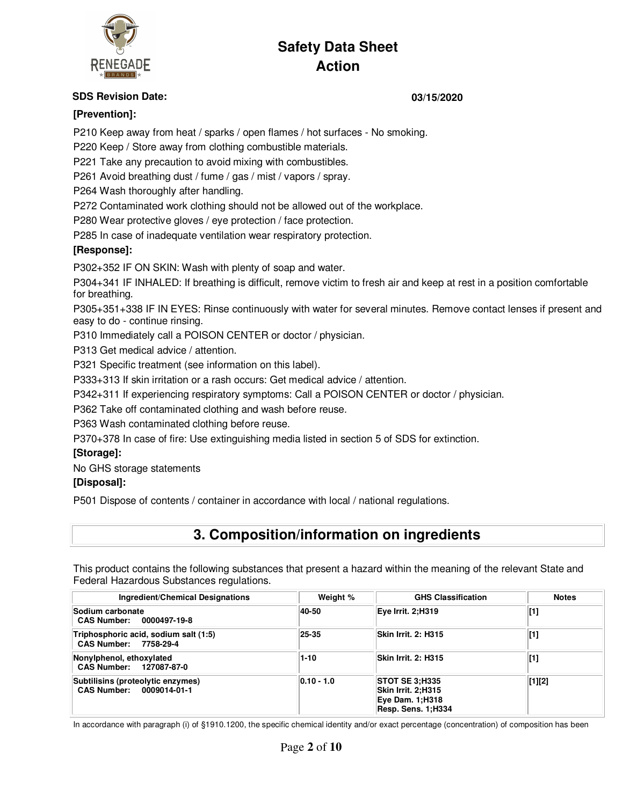

### **SDS Revision Date: 03/15/2020**

### **[Prevention]:**

P210 Keep away from heat / sparks / open flames / hot surfaces - No smoking.

P220 Keep / Store away from clothing combustible materials.

P221 Take any precaution to avoid mixing with combustibles.

P261 Avoid breathing dust / fume / gas / mist / vapors / spray.

P264 Wash thoroughly after handling.

P272 Contaminated work clothing should not be allowed out of the workplace.

P280 Wear protective gloves / eye protection / face protection.

P285 In case of inadequate ventilation wear respiratory protection.

### **[Response]:**

P302+352 IF ON SKIN: Wash with plenty of soap and water.

P304+341 IF INHALED: If breathing is difficult, remove victim to fresh air and keep at rest in a position comfortable for breathing.

P305+351+338 IF IN EYES: Rinse continuously with water for several minutes. Remove contact lenses if present and easy to do - continue rinsing.

P310 Immediately call a POISON CENTER or doctor / physician.

P313 Get medical advice / attention.

P321 Specific treatment (see information on this label).

P333+313 If skin irritation or a rash occurs: Get medical advice / attention.

P342+311 If experiencing respiratory symptoms: Call a POISON CENTER or doctor / physician.

P362 Take off contaminated clothing and wash before reuse.

P363 Wash contaminated clothing before reuse.

P370+378 In case of fire: Use extinguishing media listed in section 5 of SDS for extinction.

### **[Storage]:**

No GHS storage statements

### **[Disposal]:**

P501 Dispose of contents / container in accordance with local / national regulations.

## **3. Composition/information on ingredients**

This product contains the following substances that present a hazard within the meaning of the relevant State and Federal Hazardous Substances regulations.

| Ingredient/Chemical Designations                               | Weight %     | <b>GHS Classification</b>                                                                   | <b>Notes</b> |
|----------------------------------------------------------------|--------------|---------------------------------------------------------------------------------------------|--------------|
| Sodium carbonate<br>CAS Number: 0000497-19-8                   | 40-50        | Eve Irrit. 2:H319                                                                           | $[1]$        |
| Triphosphoric acid, sodium salt (1:5)<br>CAS Number: 7758-29-4 | 25-35        | Skin Irrit. 2: H315                                                                         | $[1]$        |
| Nonylphenol, ethoxylated<br>CAS Number: 127087-87-0            | $1 - 10$     | Skin Irrit. 2: H315                                                                         | $[1]$        |
| Subtilisins (proteolytic enzymes)<br>CAS Number: 0009014-01-1  | $0.10 - 1.0$ | <b>STOT SE 3:H335</b><br>Skin Irrit. 2:H315<br><b>Eye Dam. 1;H318</b><br>Resp. Sens. 1:H334 | $[1][2]$     |

In accordance with paragraph (i) of §1910.1200, the specific chemical identity and/or exact percentage (concentration) of composition has been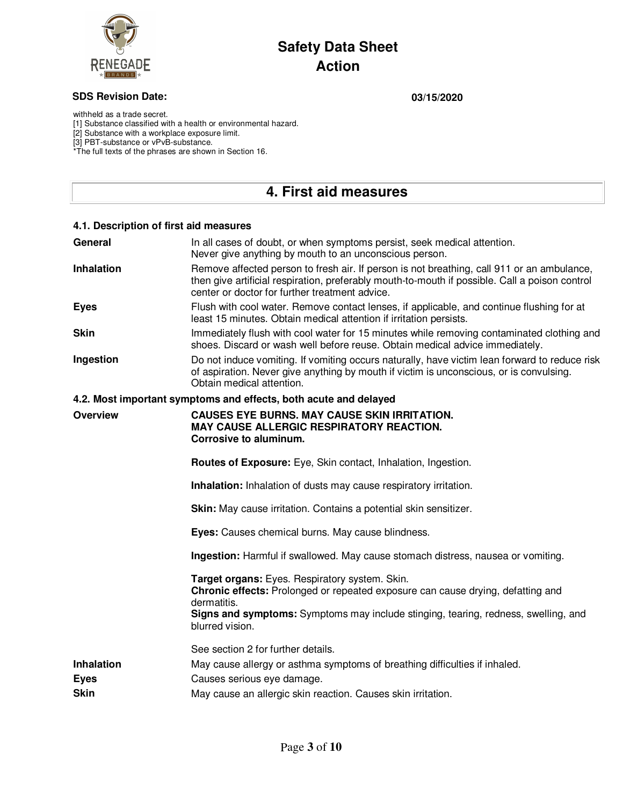

### **SDS Revision Date: 03/15/2020**

withheld as a trade secret.

[1] Substance classified with a health or environmental hazard.

[2] Substance with a workplace exposure limit.

[3] PBT-substance or vPvB-substance.

\*The full texts of the phrases are shown in Section 16.

## **4. First aid measures**

| 4.1. Description of first aid measures |                                                                                                                                                                                                                                                |
|----------------------------------------|------------------------------------------------------------------------------------------------------------------------------------------------------------------------------------------------------------------------------------------------|
| General                                | In all cases of doubt, or when symptoms persist, seek medical attention.<br>Never give anything by mouth to an unconscious person.                                                                                                             |
| <b>Inhalation</b>                      | Remove affected person to fresh air. If person is not breathing, call 911 or an ambulance,<br>then give artificial respiration, preferably mouth-to-mouth if possible. Call a poison control<br>center or doctor for further treatment advice. |
| <b>Eyes</b>                            | Flush with cool water. Remove contact lenses, if applicable, and continue flushing for at<br>least 15 minutes. Obtain medical attention if irritation persists.                                                                                |
| <b>Skin</b>                            | Immediately flush with cool water for 15 minutes while removing contaminated clothing and<br>shoes. Discard or wash well before reuse. Obtain medical advice immediately.                                                                      |
| Ingestion                              | Do not induce vomiting. If vomiting occurs naturally, have victim lean forward to reduce risk<br>of aspiration. Never give anything by mouth if victim is unconscious, or is convulsing.<br>Obtain medical attention.                          |
|                                        | 4.2. Most important symptoms and effects, both acute and delayed                                                                                                                                                                               |
| <b>Overview</b>                        | <b>CAUSES EYE BURNS, MAY CAUSE SKIN IRRITATION.</b><br><b>MAY CAUSE ALLERGIC RESPIRATORY REACTION.</b><br>Corrosive to aluminum.                                                                                                               |
|                                        | Routes of Exposure: Eye, Skin contact, Inhalation, Ingestion.                                                                                                                                                                                  |
|                                        | Inhalation: Inhalation of dusts may cause respiratory irritation.                                                                                                                                                                              |
|                                        | Skin: May cause irritation. Contains a potential skin sensitizer.                                                                                                                                                                              |
|                                        | Eyes: Causes chemical burns. May cause blindness.                                                                                                                                                                                              |
|                                        | Ingestion: Harmful if swallowed. May cause stomach distress, nausea or vomiting.                                                                                                                                                               |
|                                        | Target organs: Eyes. Respiratory system. Skin.<br>Chronic effects: Prolonged or repeated exposure can cause drying, defatting and<br>dermatitis.                                                                                               |
|                                        | Signs and symptoms: Symptoms may include stinging, tearing, redness, swelling, and<br>blurred vision.                                                                                                                                          |
|                                        | See section 2 for further details.                                                                                                                                                                                                             |
| <b>Inhalation</b><br><b>Eyes</b>       | May cause allergy or asthma symptoms of breathing difficulties if inhaled.<br>Causes serious eye damage.                                                                                                                                       |
| <b>Skin</b>                            | May cause an allergic skin reaction. Causes skin irritation.                                                                                                                                                                                   |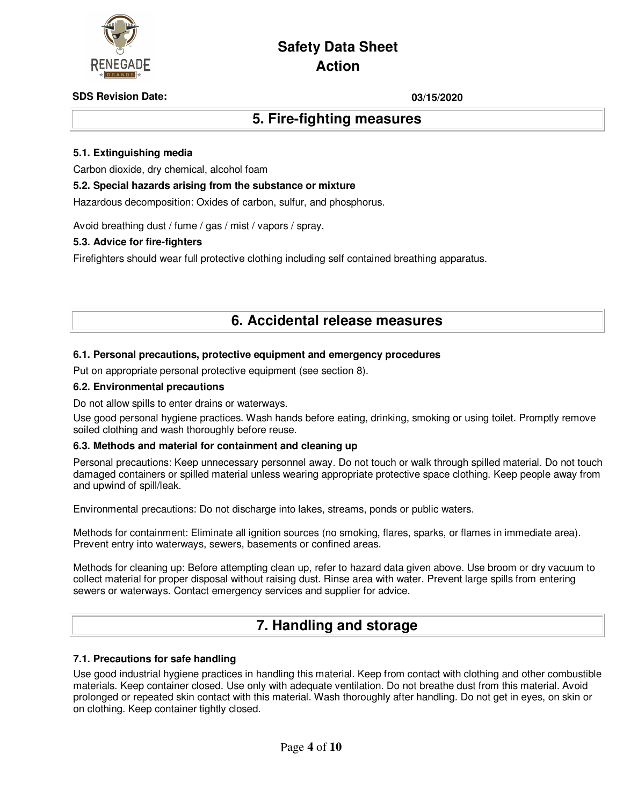

### **SDS Revision Date: 03/15/2020**

### **5. Fire-fighting measures**

### **5.1. Extinguishing media**

Carbon dioxide, dry chemical, alcohol foam

### **5.2. Special hazards arising from the substance or mixture**

Hazardous decomposition: Oxides of carbon, sulfur, and phosphorus.

Avoid breathing dust / fume / gas / mist / vapors / spray.

### **5.3. Advice for fire-fighters**

Firefighters should wear full protective clothing including self contained breathing apparatus.

### **6. Accidental release measures**

### **6.1. Personal precautions, protective equipment and emergency procedures**

Put on appropriate personal protective equipment (see section 8).

### **6.2. Environmental precautions**

Do not allow spills to enter drains or waterways.

Use good personal hygiene practices. Wash hands before eating, drinking, smoking or using toilet. Promptly remove soiled clothing and wash thoroughly before reuse.

### **6.3. Methods and material for containment and cleaning up**

Personal precautions: Keep unnecessary personnel away. Do not touch or walk through spilled material. Do not touch damaged containers or spilled material unless wearing appropriate protective space clothing. Keep people away from and upwind of spill/leak.

Environmental precautions: Do not discharge into lakes, streams, ponds or public waters.

Methods for containment: Eliminate all ignition sources (no smoking, flares, sparks, or flames in immediate area). Prevent entry into waterways, sewers, basements or confined areas.

Methods for cleaning up: Before attempting clean up, refer to hazard data given above. Use broom or dry vacuum to collect material for proper disposal without raising dust. Rinse area with water. Prevent large spills from entering sewers or waterways. Contact emergency services and supplier for advice.

### **7. Handling and storage**

### **7.1. Precautions for safe handling**

Use good industrial hygiene practices in handling this material. Keep from contact with clothing and other combustible materials. Keep container closed. Use only with adequate ventilation. Do not breathe dust from this material. Avoid prolonged or repeated skin contact with this material. Wash thoroughly after handling. Do not get in eyes, on skin or on clothing. Keep container tightly closed.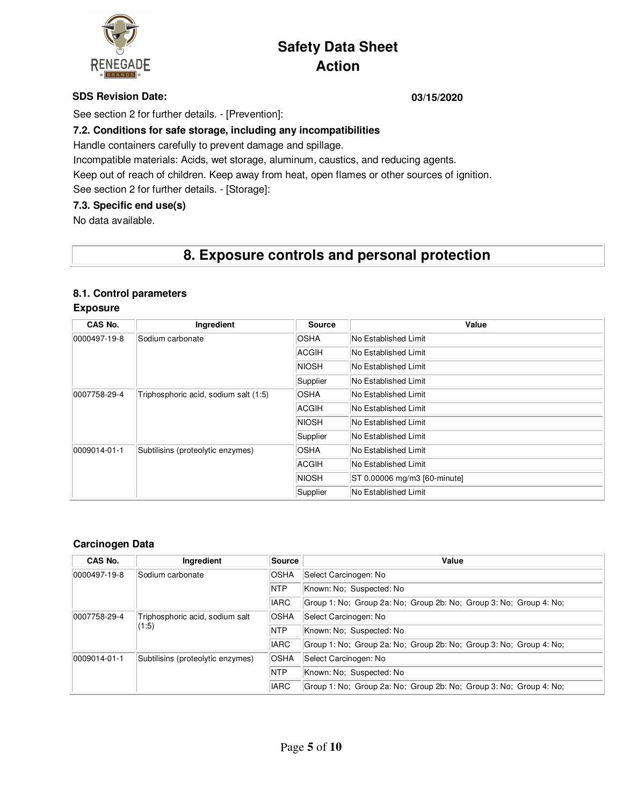

### **SDS Revision Date: 03/15/2020**

See section 2 for further details. - [Prevention]:

### **7.2. Conditions for safe storage, including any incompatibilities**

Handle containers carefully to prevent damage and spillage.

Incompatible materials: Acids, wet storage, aluminum, caustics, and reducing agents.

Keep out of reach of children. Keep away from heat, open flames or other sources of ignition.

See section 2 for further details. - [Storage]:

### **7.3. Specific end use(s)**

No data available.

# **8. Exposure controls and personal protection**

### **8.1. Control parameters**

### **Exposure**

| CAS No.                                           | Ingredient                            | <b>Source</b> | Value                        |
|---------------------------------------------------|---------------------------------------|---------------|------------------------------|
| 0000497-19-8                                      | Sodium carbonate                      | OSHA          | No Established Limit         |
|                                                   |                                       | <b>ACGIH</b>  | No Established Limit         |
|                                                   |                                       | <b>NIOSH</b>  | No Established Limit         |
|                                                   |                                       | Supplier      | No Established Limit         |
| 0007758-29-4                                      | Triphosphoric acid, sodium salt (1:5) | OSHA          | No Established Limit         |
|                                                   |                                       | ACGIH         | No Established Limit         |
|                                                   |                                       | NIOSH         | No Established Limit         |
|                                                   |                                       | Supplier      | No Established Limit         |
| 0009014-01-1<br>Subtilisins (proteolytic enzymes) |                                       | <b>OSHA</b>   | No Established Limit         |
|                                                   |                                       | ACGIH         | No Established Limit         |
|                                                   |                                       | NIOSH         | ST 0.00006 mg/m3 [60-minute] |
|                                                   |                                       | Supplier      | No Established Limit         |

### **Carcinogen Data**

| CAS No.          | Ingredient                        | Source      | Value                                                              |
|------------------|-----------------------------------|-------------|--------------------------------------------------------------------|
| $ 0000497-19-8 $ | Sodium carbonate                  | <b>OSHA</b> | Select Carcinogen: No                                              |
|                  |                                   | <b>NTP</b>  | Known: No; Suspected: No                                           |
|                  |                                   | <b>IARC</b> | Group 1: No; Group 2a: No; Group 2b: No; Group 3: No; Group 4: No; |
| 0007758-29-4     | Triphosphoric acid, sodium salt   | <b>OSHA</b> | Select Carcinogen: No                                              |
|                  | (1:5)                             | <b>NTP</b>  | Known: No; Suspected: No                                           |
|                  |                                   | <b>IARC</b> | Group 1: No; Group 2a: No; Group 2b: No; Group 3: No; Group 4: No; |
| 0009014-01-1     | Subtilisins (proteolytic enzymes) | <b>OSHA</b> | Select Carcinogen: No                                              |
|                  |                                   | <b>NTP</b>  | Known: No; Suspected: No                                           |
|                  |                                   | <b>IARC</b> | Group 1: No; Group 2a: No; Group 2b: No; Group 3: No; Group 4: No; |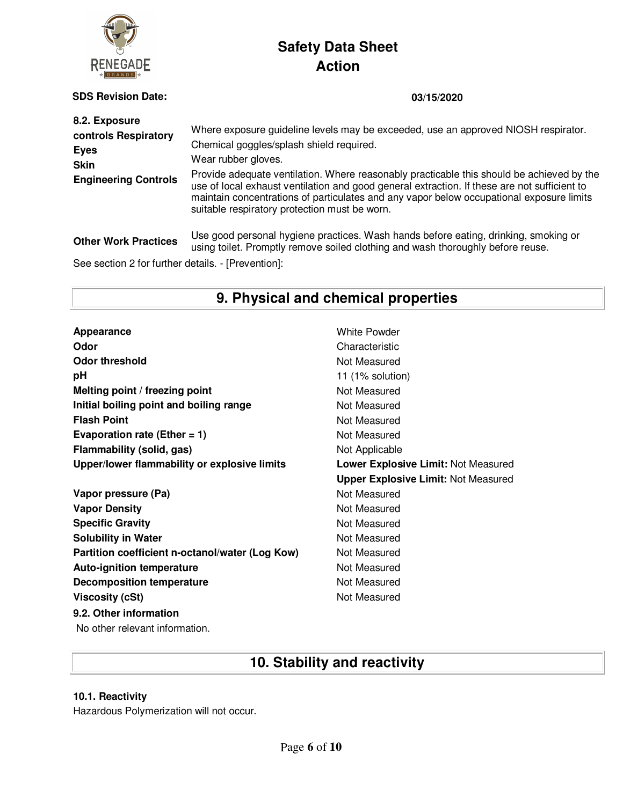

**SDS Revision Date: 03/15/2020**

| 8.2. Exposure<br>controls Respiratory<br><b>Eyes</b><br><b>Skin</b><br><b>Engineering Controls</b> | Where exposure guideline levels may be exceeded, use an approved NIOSH respirator.<br>Chemical goggles/splash shield required.<br>Wear rubber gloves.<br>Provide adequate ventilation. Where reasonably practicable this should be achieved by the<br>use of local exhaust ventilation and good general extraction. If these are not sufficient to<br>maintain concentrations of particulates and any vapor below occupational exposure limits<br>suitable respiratory protection must be worn. |
|----------------------------------------------------------------------------------------------------|-------------------------------------------------------------------------------------------------------------------------------------------------------------------------------------------------------------------------------------------------------------------------------------------------------------------------------------------------------------------------------------------------------------------------------------------------------------------------------------------------|
| <b>Other Work Practices</b>                                                                        | Use good personal hygiene practices. Wash hands before eating, drinking, smoking or<br>using toilet. Promptly remove soiled clothing and wash thoroughly before reuse.                                                                                                                                                                                                                                                                                                                          |

See section 2 for further details. - [Prevention]:

# **9. Physical and chemical properties**

Appearance **Appearance** White Powder **Odor** Characteristic **Odor threshold** Not Measured **pH** 11 (1% solution) **Melting point / freezing point** Not Measured **Initial boiling point and boiling range Mot Measured Results Flash Point** Not Measured **Evaporation rate (Ether = 1)** Not Measured **Flammability (solid, gas)** Not Applicable **Upper/lower flammability or explosive limits Lower Explosive Limit:** Not Measured

**Vapor pressure (Pa)** Not Measured **Vapor Density Not Measured** Not Measured **Specific Gravity Not Measured** Not Measured **Solubility in Water** Not Measured **Partition coefficient n-octanol/water (Log Kow)** Not Measured **Auto-ignition temperature Not Measured Not Measured Decomposition temperature** Not Measured **Viscosity (cSt)** Not Measured **9.2. Other information**

**Upper Explosive Limit:** Not Measured

No other relevant information.

# **10. Stability and reactivity**

### **10.1. Reactivity**

Hazardous Polymerization will not occur.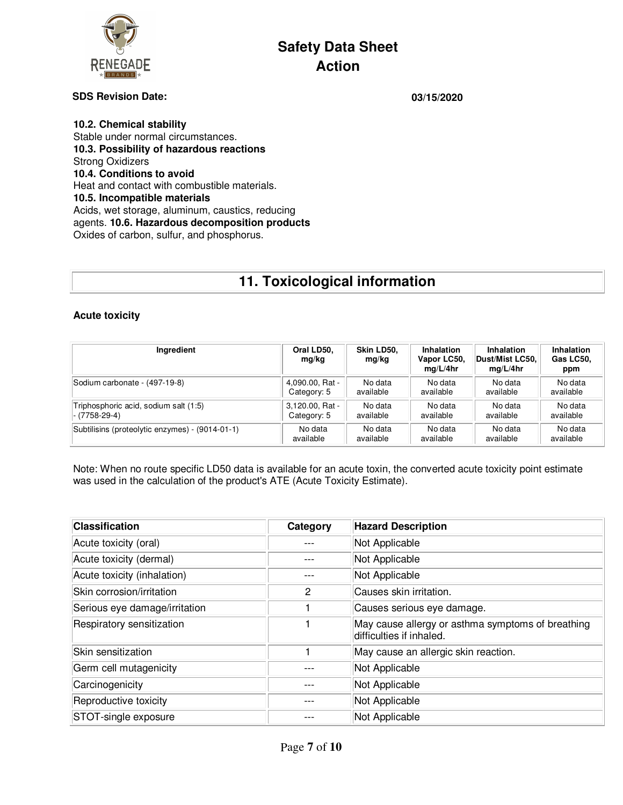

### **SDS Revision Date: 03/15/2020**

**10.2. Chemical stability**  Stable under normal circumstances. **10.3. Possibility of hazardous reactions**  Strong Oxidizers **10.4. Conditions to avoid**  Heat and contact with combustible materials. **10.5. Incompatible materials**  Acids, wet storage, aluminum, caustics, reducing agents. **10.6. Hazardous decomposition products**  Oxides of carbon, sulfur, and phosphorus.

# **11. Toxicological information**

### **Acute toxicity**

| Ingredient                                      | Oral LD50,<br>mg/kg | Skin LD50.<br>mg/kg | Inhalation<br>Vapor LC50,<br>mq/L/4hr | <b>Inhalation</b><br>Dust/Mist LC50.<br>mq/L/4hr | <b>Inhalation</b><br>Gas LC50,<br>ppm |
|-------------------------------------------------|---------------------|---------------------|---------------------------------------|--------------------------------------------------|---------------------------------------|
| Sodium carbonate - (497-19-8)                   | 4,090.00, Rat -     | No data             | No data                               | No data                                          | No data                               |
|                                                 | Category: 5         | available           | available                             | available                                        | available                             |
| Triphosphoric acid, sodium salt (1:5)           | 3,120.00, Rat -     | No data             | No data                               | No data                                          | No data                               |
| - (7758-29-4)                                   | Category: 5         | available           | available                             | available                                        | available                             |
| Subtilisins (proteolytic enzymes) - (9014-01-1) | No data             | No data             | No data                               | No data                                          | No data                               |
|                                                 | available           | available           | available                             | available                                        | available                             |

Note: When no route specific LD50 data is available for an acute toxin, the converted acute toxicity point estimate was used in the calculation of the product's ATE (Acute Toxicity Estimate).

| <b>Classification</b>         | Category | <b>Hazard Description</b>                                                     |
|-------------------------------|----------|-------------------------------------------------------------------------------|
| Acute toxicity (oral)         |          | Not Applicable                                                                |
| Acute toxicity (dermal)       |          | Not Applicable                                                                |
| Acute toxicity (inhalation)   |          | Not Applicable                                                                |
| Skin corrosion/irritation     | 2        | Causes skin irritation.                                                       |
| Serious eye damage/irritation |          | Causes serious eye damage.                                                    |
| Respiratory sensitization     |          | May cause allergy or asthma symptoms of breathing<br>difficulties if inhaled. |
| Skin sensitization            |          | May cause an allergic skin reaction.                                          |
| Germ cell mutagenicity        |          | Not Applicable                                                                |
| Carcinogenicity               |          | Not Applicable                                                                |
| Reproductive toxicity         |          | Not Applicable                                                                |
| STOT-single exposure          |          | Not Applicable                                                                |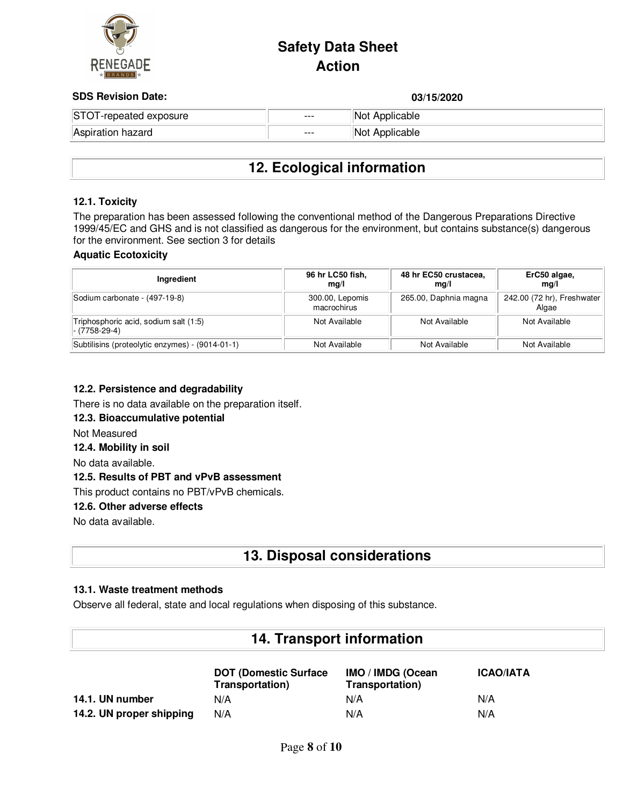

### **SDS Revision Date: 03/15/2020**

| <b>ODO HUVISION DUIU.</b> |       | טשטא וטי       |
|---------------------------|-------|----------------|
| STOT-repeated exposure    | $---$ | Not Applicable |
| Aspiration hazard         | $---$ | Not Applicable |

### **12. Ecological information**

### **12.1. Toxicity**

The preparation has been assessed following the conventional method of the Dangerous Preparations Directive 1999/45/EC and GHS and is not classified as dangerous for the environment, but contains substance(s) dangerous for the environment. See section 3 for details

### **Aquatic Ecotoxicity**

| Ingredient                                              | 96 hr LC50 fish,<br>mq/l       | 48 hr EC50 crustacea,<br>mq/l | ErC50 algae,<br>ma/l                |
|---------------------------------------------------------|--------------------------------|-------------------------------|-------------------------------------|
| Sodium carbonate - (497-19-8)                           | 300.00, Lepomis<br>macrochirus | 265.00, Daphnia magna         | 242.00 (72 hr), Freshwater<br>Algae |
| Triphosphoric acid, sodium salt (1:5)<br> - (7758-29-4) | Not Available                  | Not Available                 | Not Available                       |
| Subtilisins (proteolytic enzymes) - (9014-01-1)         | Not Available                  | Not Available                 | Not Available                       |

### **12.2. Persistence and degradability**

There is no data available on the preparation itself.

### **12.3. Bioaccumulative potential**

Not Measured

### **12.4. Mobility in soil**

No data available.

### **12.5. Results of PBT and vPvB assessment**

This product contains no PBT/vPvB chemicals.

### **12.6. Other adverse effects**

No data available.

### **13. Disposal considerations**

### **13.1. Waste treatment methods**

Observe all federal, state and local regulations when disposing of this substance.

### **14. Transport information**

|                          | <b>DOT (Domestic Surface)</b><br>Transportation) | IMO / IMDG (Ocean<br>Transportation) | <b>ICAO/IATA</b> |
|--------------------------|--------------------------------------------------|--------------------------------------|------------------|
| 14.1. UN number          | N/A                                              | N/A                                  | N/A              |
| 14.2. UN proper shipping | N/A                                              | N/A                                  | N/A              |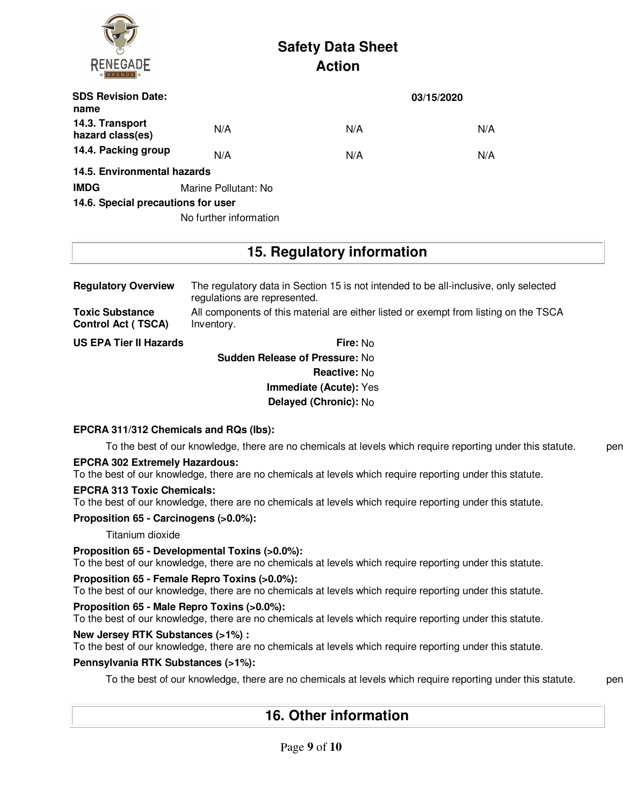

| <b>SDS Revision Date:</b><br>name   |                        |     | 03/15/2020 |
|-------------------------------------|------------------------|-----|------------|
| 14.3. Transport<br>hazard class(es) | N/A                    | N/A | N/A        |
| 14.4. Packing group                 | N/A                    | N/A | N/A        |
| 14.5. Environmental hazards         |                        |     |            |
| <b>IMDG</b>                         | Marine Pollutant: No   |     |            |
| 14.6. Special precautions for user  |                        |     |            |
|                                     | No further information |     |            |

### **15. Regulatory information**

| <b>Regulatory Overview</b>                          | The regulatory data in Section 15 is not intended to be all-inclusive, only selected<br>regulations are represented. |  |  |
|-----------------------------------------------------|----------------------------------------------------------------------------------------------------------------------|--|--|
| <b>Toxic Substance</b><br><b>Control Act (TSCA)</b> | All components of this material are either listed or exempt from listing on the TSCA<br>Inventory.                   |  |  |
| <b>US EPA Tier II Hazards</b>                       | <b>Fire: No</b>                                                                                                      |  |  |

**Sudden Release of Pressure:** No **Reactive:** No **Immediate (Acute):** Yes **Delayed (Chronic):** No

### **EPCRA 311/312 Chemicals and RQs (lbs):**

To the best of our knowledge, there are no chemicals at levels which require reporting under this statute. pen

### **EPCRA 302 Extremely Hazardous:**

To the best of our knowledge, there are no chemicals at levels which require reporting under this statute.

### **EPCRA 313 Toxic Chemicals:**

To the best of our knowledge, there are no chemicals at levels which require reporting under this statute.

**Proposition 65 - Carcinogens (>0.0%):**

Titanium dioxide

### **Proposition 65 - Developmental Toxins (>0.0%):**

To the best of our knowledge, there are no chemicals at levels which require reporting under this statute.

### **Proposition 65 - Female Repro Toxins (>0.0%):**

To the best of our knowledge, there are no chemicals at levels which require reporting under this statute.

### **Proposition 65 - Male Repro Toxins (>0.0%):**

To the best of our knowledge, there are no chemicals at levels which require reporting under this statute.

# **New Jersey RTK Substances (>1%) :**

To the best of our knowledge, there are no chemicals at levels which require reporting under this statute.

### **Pennsylvania RTK Substances (>1%):**

To the best of our knowledge, there are no chemicals at levels which require reporting under this statute. pen

**16. Other information**